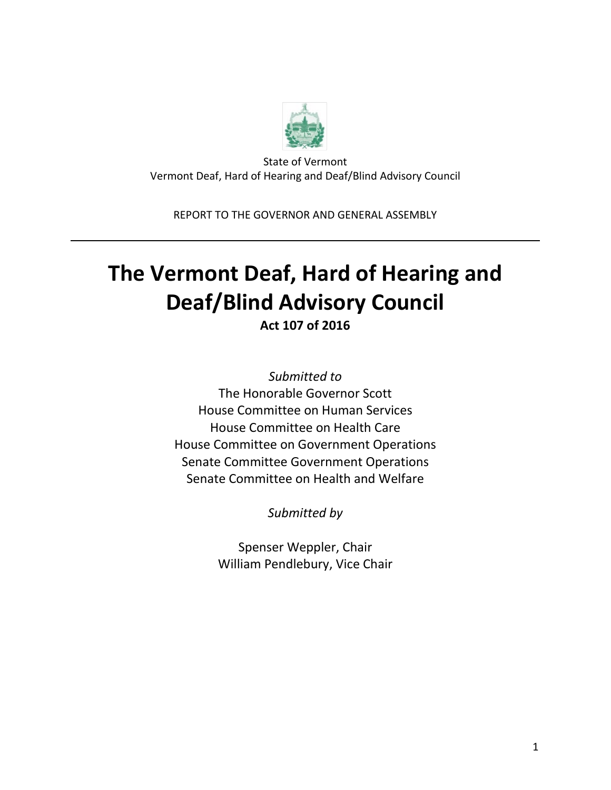

State of Vermont Vermont Deaf, Hard of Hearing and Deaf/Blind Advisory Council

REPORT TO THE GOVERNOR AND GENERAL ASSEMBLY

# **The Vermont Deaf, Hard of Hearing and Deaf/Blind Advisory Council**

**Act 107 of 2016**

*Submitted to* The Honorable Governor Scott House Committee on Human Services House Committee on Health Care House Committee on Government Operations Senate Committee Government Operations Senate Committee on Health and Welfare

*Submitted by*

Spenser Weppler, Chair William Pendlebury, Vice Chair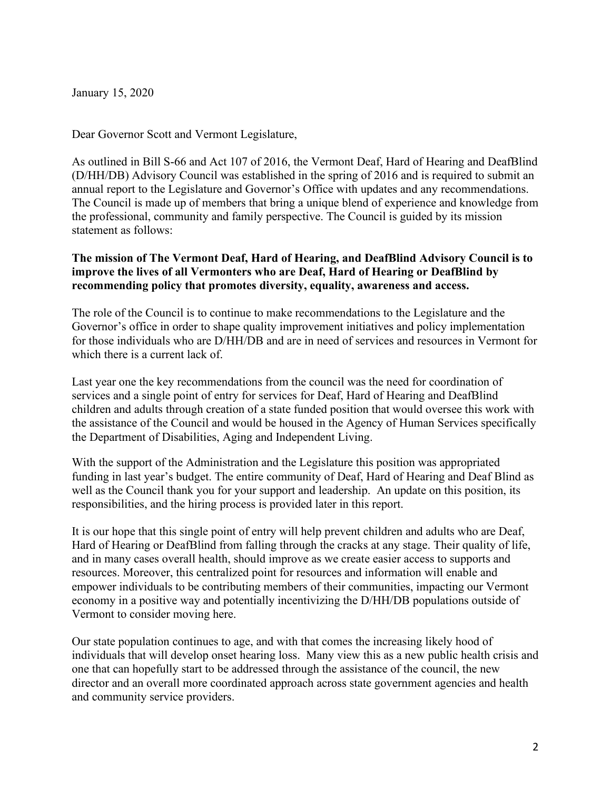January 15, 2020

Dear Governor Scott and Vermont Legislature,

As outlined in Bill S-66 and Act 107 of 2016, the Vermont Deaf, Hard of Hearing and DeafBlind (D/HH/DB) Advisory Council was established in the spring of 2016 and is required to submit an annual report to the Legislature and Governor's Office with updates and any recommendations. The Council is made up of members that bring a unique blend of experience and knowledge from the professional, community and family perspective. The Council is guided by its mission statement as follows:

### **The mission of The Vermont Deaf, Hard of Hearing, and DeafBlind Advisory Council is to improve the lives of all Vermonters who are Deaf, Hard of Hearing or DeafBlind by recommending policy that promotes diversity, equality, awareness and access.**

The role of the Council is to continue to make recommendations to the Legislature and the Governor's office in order to shape quality improvement initiatives and policy implementation for those individuals who are D/HH/DB and are in need of services and resources in Vermont for which there is a current lack of.

Last year one the key recommendations from the council was the need for coordination of services and a single point of entry for services for Deaf, Hard of Hearing and DeafBlind children and adults through creation of a state funded position that would oversee this work with the assistance of the Council and would be housed in the Agency of Human Services specifically the Department of Disabilities, Aging and Independent Living.

With the support of the Administration and the Legislature this position was appropriated funding in last year's budget. The entire community of Deaf, Hard of Hearing and Deaf Blind as well as the Council thank you for your support and leadership. An update on this position, its responsibilities, and the hiring process is provided later in this report.

It is our hope that this single point of entry will help prevent children and adults who are Deaf, Hard of Hearing or DeafBlind from falling through the cracks at any stage. Their quality of life, and in many cases overall health, should improve as we create easier access to supports and resources. Moreover, this centralized point for resources and information will enable and empower individuals to be contributing members of their communities, impacting our Vermont economy in a positive way and potentially incentivizing the D/HH/DB populations outside of Vermont to consider moving here.

Our state population continues to age, and with that comes the increasing likely hood of individuals that will develop onset hearing loss. Many view this as a new public health crisis and one that can hopefully start to be addressed through the assistance of the council, the new director and an overall more coordinated approach across state government agencies and health and community service providers.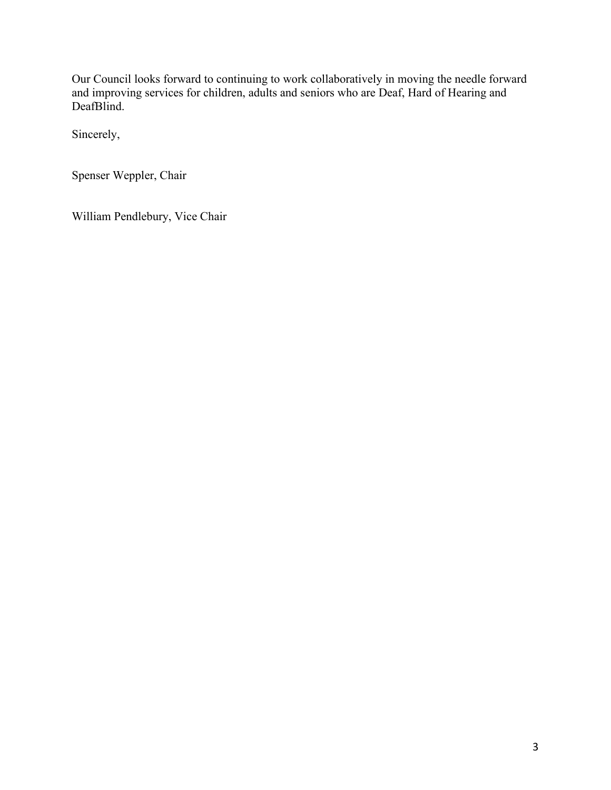Our Council looks forward to continuing to work collaboratively in moving the needle forward and improving services for children, adults and seniors who are Deaf, Hard of Hearing and DeafBlind.

Sincerely,

Spenser Weppler, Chair

William Pendlebury, Vice Chair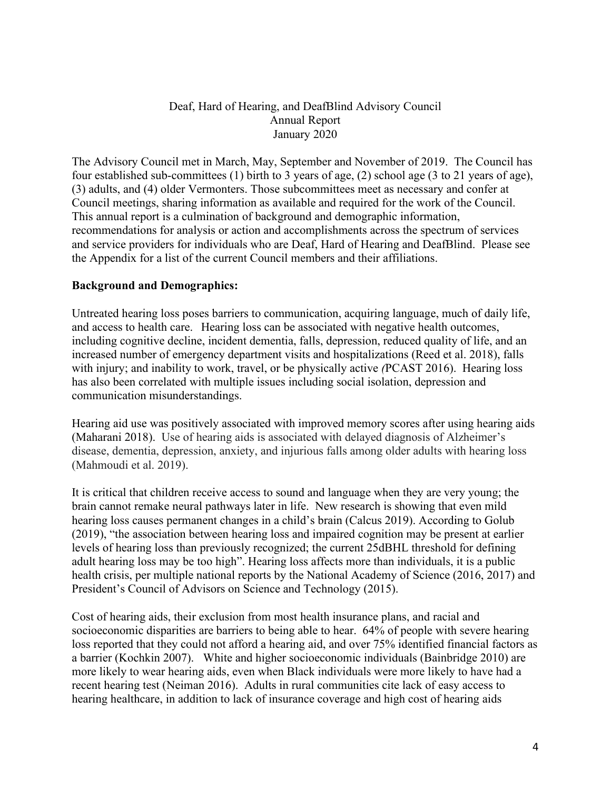## Deaf, Hard of Hearing, and DeafBlind Advisory Council Annual Report January 2020

The Advisory Council met in March, May, September and November of 2019. The Council has four established sub-committees (1) birth to 3 years of age, (2) school age (3 to 21 years of age), (3) adults, and (4) older Vermonters. Those subcommittees meet as necessary and confer at Council meetings, sharing information as available and required for the work of the Council. This annual report is a culmination of background and demographic information, recommendations for analysis or action and accomplishments across the spectrum of services and service providers for individuals who are Deaf, Hard of Hearing and DeafBlind. Please see the Appendix for a list of the current Council members and their affiliations.

## **Background and Demographics:**

Untreated hearing loss poses barriers to communication, acquiring language, much of daily life, and access to health care. Hearing loss can be associated with negative health outcomes, including cognitive decline, incident dementia, falls, depression, reduced quality of life, and an increased number of emergency department visits and hospitalizations (Reed et al. 2018), falls with injury; and inability to work, travel, or be physically active *(*PCAST 2016). Hearing loss has also been correlated with multiple issues including social isolation, depression and communication misunderstandings.

Hearing aid use was positively associated with improved memory scores after using hearing aids (Maharani 2018). Use of hearing aids is associated with delayed diagnosis of Alzheimer's disease, dementia, depression, anxiety, and injurious falls among older adults with hearing loss (Mahmoudi et al. 2019).

It is critical that children receive access to sound and language when they are very young; the brain cannot remake neural pathways later in life. New research is showing that even mild hearing loss causes permanent changes in a child's brain (Calcus 2019). According to Golub (2019), "the association between hearing loss and impaired cognition may be present at earlier levels of hearing loss than previously recognized; the current 25dBHL threshold for defining adult hearing loss may be too high". Hearing loss affects more than individuals, it is a public health crisis, per multiple national reports by the National Academy of Science (2016, 2017) and President's Council of Advisors on Science and Technology (2015).

Cost of hearing aids, their exclusion from most health insurance plans, and racial and socioeconomic disparities are barriers to being able to hear. 64% of people with severe hearing loss reported that they could not afford a hearing aid, and over 75% identified financial factors as a barrier (Kochkin 2007). White and higher socioeconomic individuals (Bainbridge 2010) are more likely to wear hearing aids, even when Black individuals were more likely to have had a recent hearing test (Neiman 2016). Adults in rural communities cite lack of easy access to hearing healthcare, in addition to lack of insurance coverage and high cost of hearing aids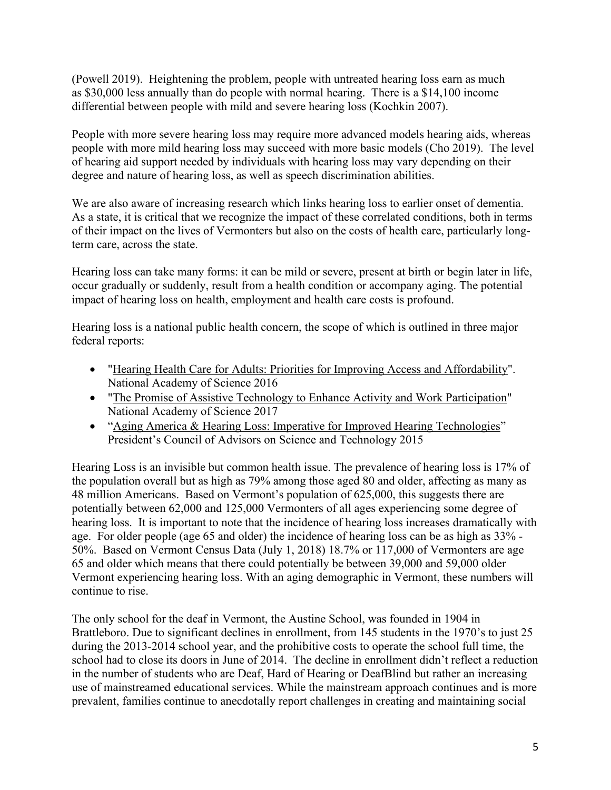(Powell 2019). Heightening the problem, people with untreated hearing loss earn as much as \$30,000 less annually than do people with normal hearing. There is a \$14,100 income differential between people with mild and severe hearing loss (Kochkin 2007).

People with more severe hearing loss may require more advanced models hearing aids, whereas people with more mild hearing loss may succeed with more basic models (Cho 2019). The level of hearing aid support needed by individuals with hearing loss may vary depending on their degree and nature of hearing loss, as well as speech discrimination abilities.

We are also aware of increasing research which links hearing loss to earlier onset of dementia. As a state, it is critical that we recognize the impact of these correlated conditions, both in terms of their impact on the lives of Vermonters but also on the costs of health care, particularly longterm care, across the state.

Hearing loss can take many forms: it can be mild or severe, present at birth or begin later in life, occur gradually or suddenly, result from a health condition or accompany aging. The potential impact of hearing loss on health, employment and health care costs is profound.

Hearing loss is a national public health concern, the scope of which is outlined in three major federal reports:

- "Hearing Health Care for Adults: Priorities for Improving Access and [Affordability"](http://nationalacademies.org/hmd/reports/2016/hearing-health-care-for-adults.aspx?_ga=2.51556269.524110590.1547840253-102203690.1547840253). National Academy of Science 2016
- "The Promise of Assistive Technology to Enhance Activity and Work [Participation"](https://www.nap.edu/catalog/24740/the-promise-of-%20assistive-technology-to-enhance-activity-and-work-%20participation) National Academy of Science 2017
- "Aging America & Hearing Loss: Imperative for Improved Hearing [Technologies"](https://obamawhitehouse.archives.gov/sites/default/files/microsites/ostp/PCAST/pcast_hearing_tech_letterreport_final.pdf) President's Council of Advisors on Science and Technology 2015

Hearing Loss is an invisible but common health issue. The prevalence of hearing loss is 17% of the population overall but as high as 79% among those aged 80 and older, affecting as many as 48 million Americans. Based on Vermont's population of 625,000, this suggests there are potentially between 62,000 and 125,000 Vermonters of all ages experiencing some degree of hearing loss. It is important to note that the incidence of hearing loss increases dramatically with age. For older people (age 65 and older) the incidence of hearing loss can be as high as 33% - 50%. Based on Vermont Census Data (July 1, 2018) 18.7% or 117,000 of Vermonters are age 65 and older which means that there could potentially be between 39,000 and 59,000 older Vermont experiencing hearing loss. With an aging demographic in Vermont, these numbers will continue to rise.

The only school for the deaf in Vermont, the Austine School, was founded in 1904 in Brattleboro. Due to significant declines in enrollment, from 145 students in the 1970's to just 25 during the 2013-2014 school year, and the prohibitive costs to operate the school full time, the school had to close its doors in June of 2014. The decline in enrollment didn't reflect a reduction in the number of students who are Deaf, Hard of Hearing or DeafBlind but rather an increasing use of mainstreamed educational services. While the mainstream approach continues and is more prevalent, families continue to anecdotally report challenges in creating and maintaining social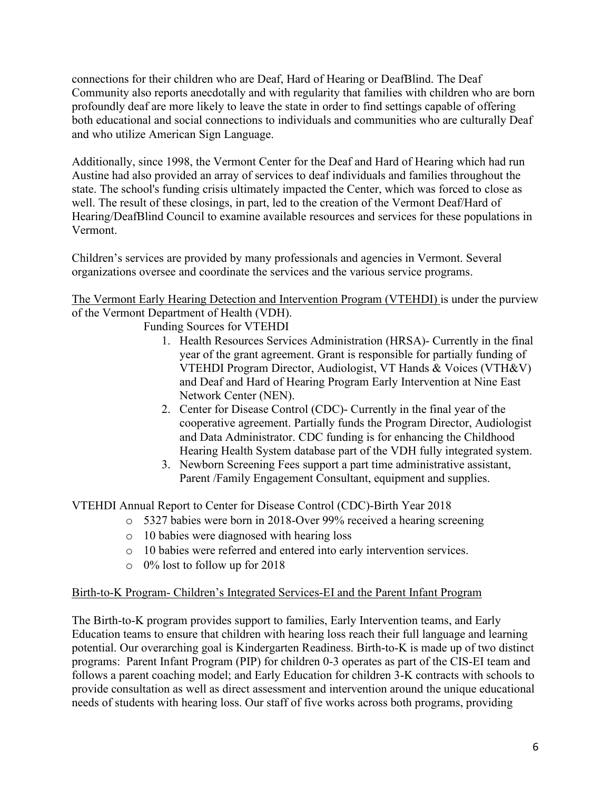connections for their children who are Deaf, Hard of Hearing or DeafBlind. The Deaf Community also reports anecdotally and with regularity that families with children who are born profoundly deaf are more likely to leave the state in order to find settings capable of offering both educational and social connections to individuals and communities who are culturally Deaf and who utilize American Sign Language.

Additionally, since 1998, the Vermont Center for the Deaf and Hard of Hearing which had run Austine had also provided an array of services to deaf individuals and families throughout the state. The school's funding crisis ultimately impacted the Center, which was forced to close as well. The result of these closings, in part, led to the creation of the Vermont Deaf/Hard of Hearing/DeafBlind Council to examine available resources and services for these populations in Vermont.

Children's services are provided by many professionals and agencies in Vermont. Several organizations oversee and coordinate the services and the various service programs.

The Vermont Early Hearing Detection and Intervention Program (VTEHDI) is under the purview of the Vermont Department of Health (VDH).

Funding Sources for VTEHDI

- 1. Health Resources Services Administration (HRSA)- Currently in the final year of the grant agreement. Grant is responsible for partially funding of VTEHDI Program Director, Audiologist, VT Hands & Voices (VTH&V) and Deaf and Hard of Hearing Program Early Intervention at Nine East Network Center (NEN).
- 2. Center for Disease Control (CDC)- Currently in the final year of the cooperative agreement. Partially funds the Program Director, Audiologist and Data Administrator. CDC funding is for enhancing the Childhood Hearing Health System database part of the VDH fully integrated system.
- 3. Newborn Screening Fees support a part time administrative assistant, Parent /Family Engagement Consultant, equipment and supplies.

VTEHDI Annual Report to Center for Disease Control (CDC)-Birth Year 2018

- o 5327 babies were born in 2018-Over 99% received a hearing screening
- o 10 babies were diagnosed with hearing loss
- o 10 babies were referred and entered into early intervention services.
- o 0% lost to follow up for 2018

#### Birth-to-K Program- Children's Integrated Services-EI and the Parent Infant Program

The Birth-to-K program provides support to families, Early Intervention teams, and Early Education teams to ensure that children with hearing loss reach their full language and learning potential. Our overarching goal is Kindergarten Readiness. Birth-to-K is made up of two distinct programs: Parent Infant Program (PIP) for children 0-3 operates as part of the CIS-EI team and follows a parent coaching model; and Early Education for children 3-K contracts with schools to provide consultation as well as direct assessment and intervention around the unique educational needs of students with hearing loss. Our staff of five works across both programs, providing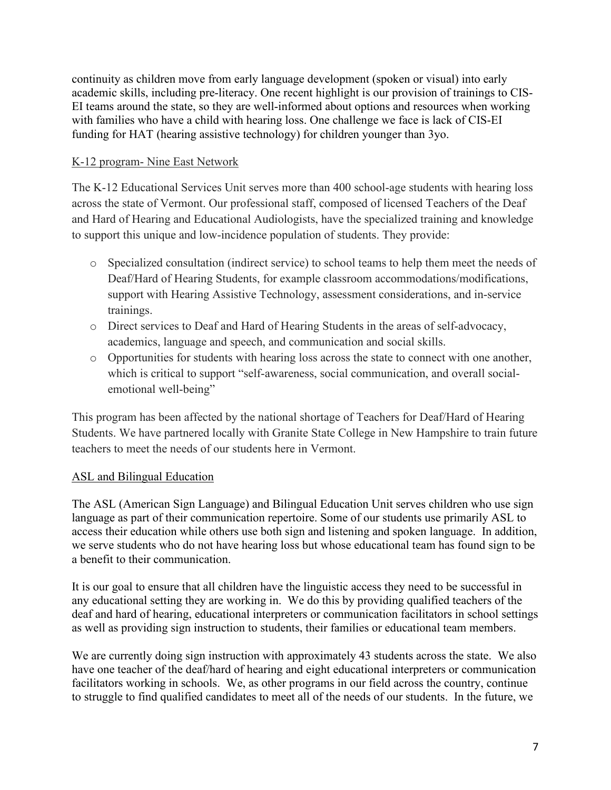continuity as children move from early language development (spoken or visual) into early academic skills, including pre-literacy. One recent highlight is our provision of trainings to CIS-EI teams around the state, so they are well-informed about options and resources when working with families who have a child with hearing loss. One challenge we face is lack of CIS-EI funding for HAT (hearing assistive technology) for children younger than 3yo.

# K-12 program- Nine East Network

The K-12 Educational Services Unit serves more than 400 school-age students with hearing loss across the state of Vermont. Our professional staff, composed of licensed Teachers of the Deaf and Hard of Hearing and Educational Audiologists, have the specialized training and knowledge to support this unique and low-incidence population of students. They provide:

- o Specialized consultation (indirect service) to school teams to help them meet the needs of Deaf/Hard of Hearing Students, for example classroom accommodations/modifications, support with Hearing Assistive Technology, assessment considerations, and in-service trainings.
- o Direct services to Deaf and Hard of Hearing Students in the areas of self-advocacy, academics, language and speech, and communication and social skills.
- o Opportunities for students with hearing loss across the state to connect with one another, which is critical to support "self-awareness, social communication, and overall socialemotional well-being"

This program has been affected by the national shortage of Teachers for Deaf/Hard of Hearing Students. We have partnered locally with Granite State College in New Hampshire to train future teachers to meet the needs of our students here in Vermont.

# ASL and Bilingual Education

The ASL (American Sign Language) and Bilingual Education Unit serves children who use sign language as part of their communication repertoire. Some of our students use primarily ASL to access their education while others use both sign and listening and spoken language. In addition, we serve students who do not have hearing loss but whose educational team has found sign to be a benefit to their communication.

It is our goal to ensure that all children have the linguistic access they need to be successful in any educational setting they are working in. We do this by providing qualified teachers of the deaf and hard of hearing, educational interpreters or communication facilitators in school settings as well as providing sign instruction to students, their families or educational team members.

We are currently doing sign instruction with approximately 43 students across the state. We also have one teacher of the deaf/hard of hearing and eight educational interpreters or communication facilitators working in schools. We, as other programs in our field across the country, continue to struggle to find qualified candidates to meet all of the needs of our students. In the future, we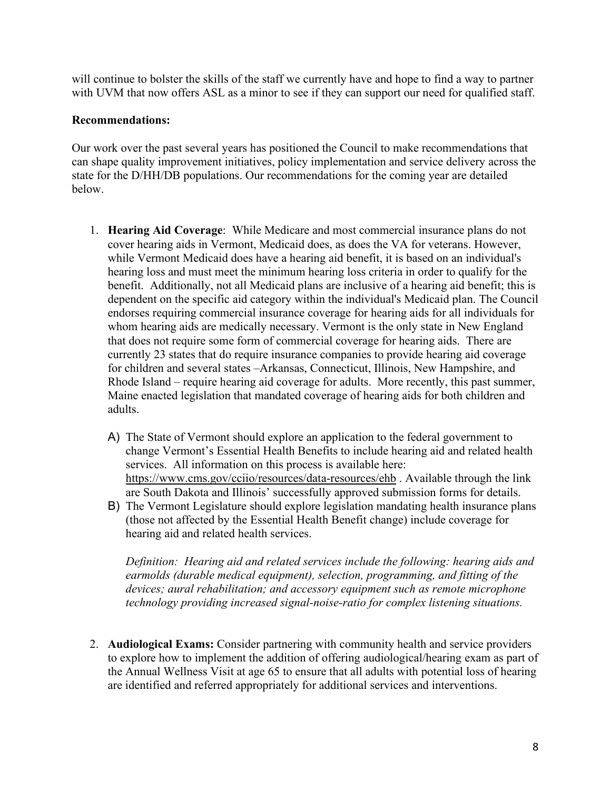will continue to bolster the skills of the staff we currently have and hope to find a way to partner with UVM that now offers ASL as a minor to see if they can support our need for qualified staff.

#### **Recommendations:**

Our work over the past several years has positioned the Council to make recommendations that can shape quality improvement initiatives, policy implementation and service delivery across the state for the D/HH/DB populations. Our recommendations for the coming year are detailed below.

- 1. **Hearing Aid Coverage**: While Medicare and most commercial insurance plans do not cover hearing aids in Vermont, Medicaid does, as does the VA for veterans. However, while Vermont Medicaid does have a hearing aid benefit, it is based on an individual's hearing loss and must meet the minimum hearing loss criteria in order to qualify for the benefit. Additionally, not all Medicaid plans are inclusive of a hearing aid benefit; this is dependent on the specific aid category within the individual's Medicaid plan. The Council endorses requiring commercial insurance coverage for hearing aids for all individuals for whom hearing aids are medically necessary. Vermont is the only state in New England that does not require some form of commercial coverage for hearing aids. There are currently 23 states that do require insurance companies to provide hearing aid coverage for children and several states –Arkansas, Connecticut, Illinois, New Hampshire, and Rhode Island – require hearing aid coverage for adults. More recently, this past summer, Maine enacted legislation that mandated coverage of hearing aids for both children and adults.
	- A) The State of Vermont should explore an application to the federal government to change Vermont's Essential Health Benefits to include hearing aid and related health services. All information on this process is available here: <https://www.cms.gov/cciio/resources/data-resources/ehb> . Available through the link are South Dakota and Illinois' successfully approved submission forms for details.
	- B) The Vermont Legislature should explore legislation mandating health insurance plans (those not affected by the Essential Health Benefit change) include coverage for hearing aid and related health services.

*Definition: Hearing aid and related services include the following: hearing aids and earmolds (durable medical equipment), selection, programming, and fitting of the devices; aural rehabilitation; and accessory equipment such as remote microphone technology providing increased signal-noise-ratio for complex listening situations.* 

2. **Audiological Exams:** Consider partnering with community health and service providers to explore how to implement the addition of offering audiological/hearing exam as part of the Annual Wellness Visit at age 65 to ensure that all adults with potential loss of hearing are identified and referred appropriately for additional services and interventions.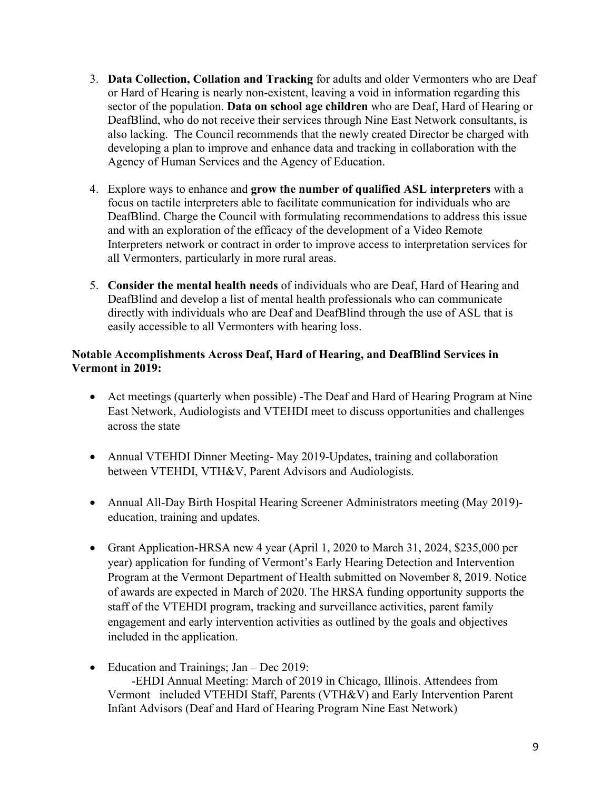- 3. **Data Collection, Collation and Tracking** for adults and older Vermonters who are Deaf or Hard of Hearing is nearly non-existent, leaving a void in information regarding this sector of the population. **Data on school age children** who are Deaf, Hard of Hearing or DeafBlind, who do not receive their services through Nine East Network consultants, is also lacking. The Council recommends that the newly created Director be charged with developing a plan to improve and enhance data and tracking in collaboration with the Agency of Human Services and the Agency of Education.
- 4. Explore ways to enhance and **grow the number of qualified ASL interpreters** with a focus on tactile interpreters able to facilitate communication for individuals who are DeafBlind. Charge the Council with formulating recommendations to address this issue and with an exploration of the efficacy of the development of a Video Remote Interpreters network or contract in order to improve access to interpretation services for all Vermonters, particularly in more rural areas.
- 5. **Consider the mental health needs** of individuals who are Deaf, Hard of Hearing and DeafBlind and develop a list of mental health professionals who can communicate directly with individuals who are Deaf and DeafBlind through the use of ASL that is easily accessible to all Vermonters with hearing loss.

#### **Notable Accomplishments Across Deaf, Hard of Hearing, and DeafBlind Services in Vermont in 2019:**

- Act meetings (quarterly when possible) -The Deaf and Hard of Hearing Program at Nine East Network, Audiologists and VTEHDI meet to discuss opportunities and challenges across the state
- Annual VTEHDI Dinner Meeting- May 2019-Updates, training and collaboration between VTEHDI, VTH&V, Parent Advisors and Audiologists.
- Annual All-Day Birth Hospital Hearing Screener Administrators meeting (May 2019) education, training and updates.
- Grant Application-HRSA new 4 year (April 1, 2020 to March 31, 2024, \$235,000 per year) application for funding of Vermont's Early Hearing Detection and Intervention Program at the Vermont Department of Health submitted on November 8, 2019. Notice of awards are expected in March of 2020. The HRSA funding opportunity supports the staff of the VTEHDI program, tracking and surveillance activities, parent family engagement and early intervention activities as outlined by the goals and objectives included in the application.
- Education and Trainings; Jan Dec 2019:

 -EHDI Annual Meeting: March of 2019 in Chicago, Illinois. Attendees from Vermont included VTEHDI Staff, Parents (VTH&V) and Early Intervention Parent Infant Advisors (Deaf and Hard of Hearing Program Nine East Network)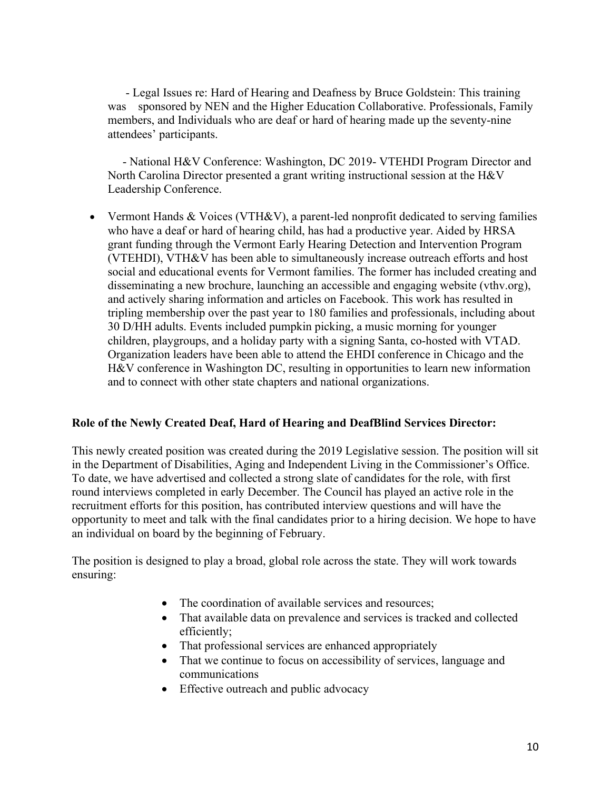- Legal Issues re: Hard of Hearing and Deafness by Bruce Goldstein: This training was sponsored by NEN and the Higher Education Collaborative. Professionals, Family members, and Individuals who are deaf or hard of hearing made up the seventy-nine attendees' participants.

 - National H&V Conference: Washington, DC 2019- VTEHDI Program Director and North Carolina Director presented a grant writing instructional session at the H&V Leadership Conference.

• Vermont Hands & Voices (VTH&V), a parent-led nonprofit dedicated to serving families who have a deaf or hard of hearing child, has had a productive year. Aided by HRSA grant funding through the Vermont Early Hearing Detection and Intervention Program (VTEHDI), VTH&V has been able to simultaneously increase outreach efforts and host social and educational events for Vermont families. The former has included creating and disseminating a new brochure, launching an accessible and engaging website (vthv.org), and actively sharing information and articles on Facebook. This work has resulted in tripling membership over the past year to 180 families and professionals, including about 30 D/HH adults. Events included pumpkin picking, a music morning for younger children, playgroups, and a holiday party with a signing Santa, co-hosted with VTAD. Organization leaders have been able to attend the EHDI conference in Chicago and the H&V conference in Washington DC, resulting in opportunities to learn new information and to connect with other state chapters and national organizations.

#### **Role of the Newly Created Deaf, Hard of Hearing and DeafBlind Services Director:**

This newly created position was created during the 2019 Legislative session. The position will sit in the Department of Disabilities, Aging and Independent Living in the Commissioner's Office. To date, we have advertised and collected a strong slate of candidates for the role, with first round interviews completed in early December. The Council has played an active role in the recruitment efforts for this position, has contributed interview questions and will have the opportunity to meet and talk with the final candidates prior to a hiring decision. We hope to have an individual on board by the beginning of February.

The position is designed to play a broad, global role across the state. They will work towards ensuring:

- The coordination of available services and resources;
- That available data on prevalence and services is tracked and collected efficiently;
- That professional services are enhanced appropriately
- That we continue to focus on accessibility of services, language and communications
- Effective outreach and public advocacy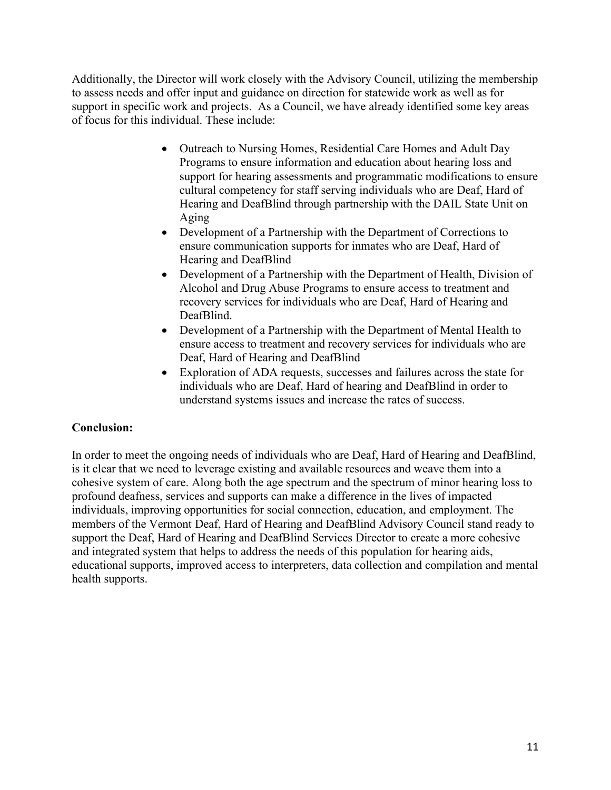Additionally, the Director will work closely with the Advisory Council, utilizing the membership to assess needs and offer input and guidance on direction for statewide work as well as for support in specific work and projects. As a Council, we have already identified some key areas of focus for this individual. These include:

- Outreach to Nursing Homes, Residential Care Homes and Adult Day Programs to ensure information and education about hearing loss and support for hearing assessments and programmatic modifications to ensure cultural competency for staff serving individuals who are Deaf, Hard of Hearing and DeafBlind through partnership with the DAIL State Unit on Aging
- Development of a Partnership with the Department of Corrections to ensure communication supports for inmates who are Deaf, Hard of Hearing and DeafBlind
- Development of a Partnership with the Department of Health, Division of Alcohol and Drug Abuse Programs to ensure access to treatment and recovery services for individuals who are Deaf, Hard of Hearing and DeafBlind.
- Development of a Partnership with the Department of Mental Health to ensure access to treatment and recovery services for individuals who are Deaf, Hard of Hearing and DeafBlind
- Exploration of ADA requests, successes and failures across the state for individuals who are Deaf, Hard of hearing and DeafBlind in order to understand systems issues and increase the rates of success.

# **Conclusion:**

In order to meet the ongoing needs of individuals who are Deaf, Hard of Hearing and DeafBlind, is it clear that we need to leverage existing and available resources and weave them into a cohesive system of care. Along both the age spectrum and the spectrum of minor hearing loss to profound deafness, services and supports can make a difference in the lives of impacted individuals, improving opportunities for social connection, education, and employment. The members of the Vermont Deaf, Hard of Hearing and DeafBlind Advisory Council stand ready to support the Deaf, Hard of Hearing and DeafBlind Services Director to create a more cohesive and integrated system that helps to address the needs of this population for hearing aids, educational supports, improved access to interpreters, data collection and compilation and mental health supports.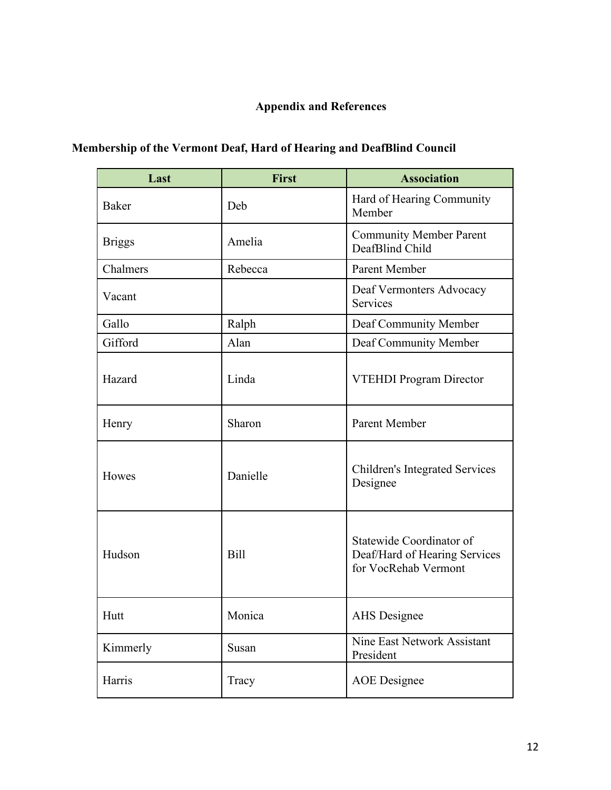# **Appendix and References**

| <b>Membership of the Vermont Deaf, Hard of Hearing and DeafBlind Council</b> |  |  |  |  |
|------------------------------------------------------------------------------|--|--|--|--|
|                                                                              |  |  |  |  |

| Last          | <b>First</b> | <b>Association</b>                                                                |  |  |
|---------------|--------------|-----------------------------------------------------------------------------------|--|--|
| <b>Baker</b>  | Deb          | Hard of Hearing Community<br>Member                                               |  |  |
| <b>Briggs</b> | Amelia       | <b>Community Member Parent</b><br>DeafBlind Child                                 |  |  |
| Chalmers      | Rebecca      | Parent Member                                                                     |  |  |
| Vacant        |              | Deaf Vermonters Advocacy<br>Services                                              |  |  |
| Gallo         | Ralph        | Deaf Community Member                                                             |  |  |
| Gifford       | Alan         | Deaf Community Member                                                             |  |  |
| Hazard        | Linda        | <b>VTEHDI Program Director</b>                                                    |  |  |
| Henry         | Sharon       | <b>Parent Member</b>                                                              |  |  |
| Howes         | Danielle     | <b>Children's Integrated Services</b><br>Designee                                 |  |  |
| Hudson        | <b>Bill</b>  | Statewide Coordinator of<br>Deaf/Hard of Hearing Services<br>for VocRehab Vermont |  |  |
| Hutt          | Monica       | <b>AHS</b> Designee                                                               |  |  |
| Kimmerly      | Susan        | Nine East Network Assistant<br>President                                          |  |  |
| Harris        | Tracy        | <b>AOE</b> Designee                                                               |  |  |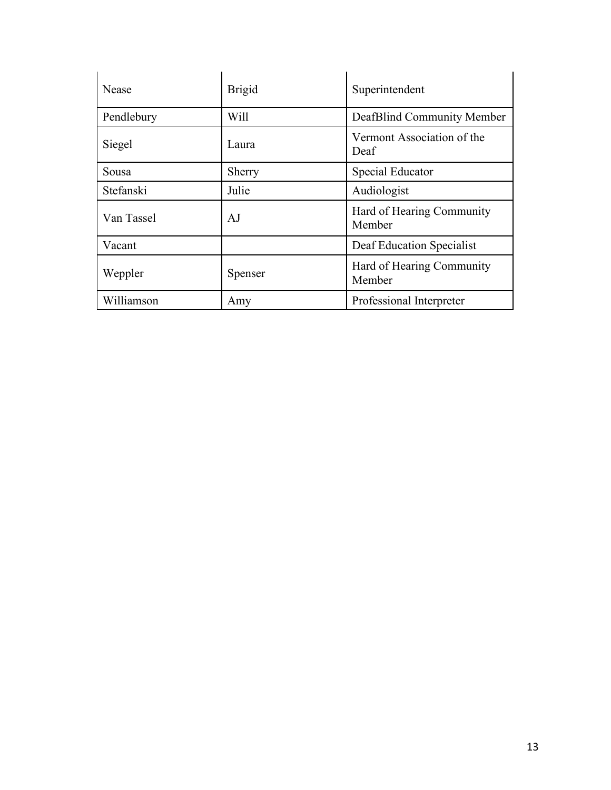| <b>Nease</b> | <b>Brigid</b> | Superintendent                      |  |  |
|--------------|---------------|-------------------------------------|--|--|
| Pendlebury   | Will          | DeafBlind Community Member          |  |  |
| Siegel       | Laura         | Vermont Association of the<br>Deaf  |  |  |
| Sousa        | Sherry        | Special Educator                    |  |  |
| Stefanski    | Julie         | Audiologist                         |  |  |
| Van Tassel   | AJ            | Hard of Hearing Community<br>Member |  |  |
| Vacant       |               | Deaf Education Specialist           |  |  |
| Weppler      | Spenser       | Hard of Hearing Community<br>Member |  |  |
| Williamson   | Amy           | Professional Interpreter            |  |  |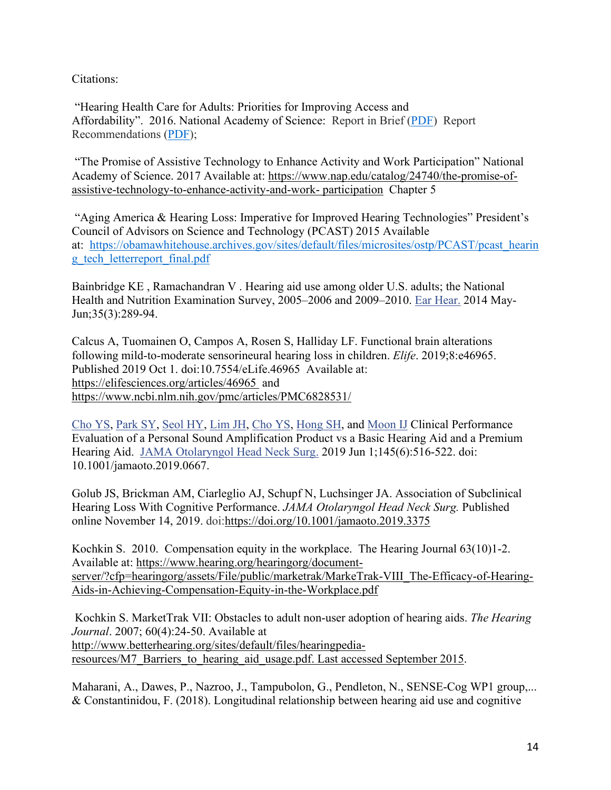Citations:

"Hearing Health Care for Adults: Priorities for Improving Access and Affordability". 2016. National Academy of Science: Report in Brief [\(PDF\)](https://nam05.safelinks.protection.outlook.com/?url=http:%2F%2Fnationalacademies.org%2Fhmd%2F%7E%2Fmedia%2FFiles%2FReport%2520Files%2F2016%2FHearing%2FHearing-RiB.pdf&data=02%7C01%7Cjulie.stefanski%40uvmhealth.org%7C45266cefaf7e4cebdb8408d775ab6586%7C5fc09f37dc5a489395c0ae3bb5ef18df%7C0%7C1%7C637107251331125797&sdata=VmtWVBVvBRKrs5w%2BA31MDvSapMCe5x%2FZ%2B%2Bg6WOiILOA%3D&reserved=0) Report Recommendations [\(PDF\)](https://nam05.safelinks.protection.outlook.com/?url=http:%2F%2Fnationalacademies.org%2Fhmd%2F%7E%2Fmedia%2FFiles%2FReport%2520Files%2F2016%2FHearing%2FHearing-Recs.pdf&data=02%7C01%7Cjulie.stefanski%40uvmhealth.org%7C45266cefaf7e4cebdb8408d775ab6586%7C5fc09f37dc5a489395c0ae3bb5ef18df%7C0%7C1%7C637107251331135791&sdata=TocF50cpz643wvczyhQAocCCUbtziqiARlXbAr6hw8Y%3D&reserved=0);

"The Promise of Assistive Technology to Enhance Activity and Work Participation" National Academy of Science. 2017 Available at: [https://www.nap.edu/catalog/24740/the-promise-of](https://www.nap.edu/catalog/24740/the-promise-of-%20assistive-technology-to-enhance-activity-and-work-%20participation)[assistive-technology-to-enhance-activity-and-work-](https://www.nap.edu/catalog/24740/the-promise-of-%20assistive-technology-to-enhance-activity-and-work-%20participation) participation Chapter 5

"Aging America & Hearing Loss: Imperative for Improved Hearing Technologies" President's Council of Advisors on Science and Technology (PCAST) 2015 Available at: [https://obamawhitehouse.archives.gov/sites/default/files/microsites/ostp/PCAST/pcast\\_hearin](https://nam05.safelinks.protection.outlook.com/?url=https%3A%2F%2Fobamawhitehouse.archives.gov%2Fsites%2Fdefault%2Ffiles%2Fmicrosites%2Fostp%2FPCAST%2Fpcast_hearing_tech_letterreport_final.pdf&data=02%7C01%7Cjulie.stefanski%40uvmhealth.org%7C45266cefaf7e4cebdb8408d775ab6586%7C5fc09f37dc5a489395c0ae3bb5ef18df%7C0%7C1%7C637107251331155782&sdata=B%2BRFNrX7NEDqpeYLjS1tQRj1rooT1IGGeFMVAgVHNjM%3D&reserved=0) [g\\_tech\\_letterreport\\_final.pdf](https://nam05.safelinks.protection.outlook.com/?url=https%3A%2F%2Fobamawhitehouse.archives.gov%2Fsites%2Fdefault%2Ffiles%2Fmicrosites%2Fostp%2FPCAST%2Fpcast_hearing_tech_letterreport_final.pdf&data=02%7C01%7Cjulie.stefanski%40uvmhealth.org%7C45266cefaf7e4cebdb8408d775ab6586%7C5fc09f37dc5a489395c0ae3bb5ef18df%7C0%7C1%7C637107251331155782&sdata=B%2BRFNrX7NEDqpeYLjS1tQRj1rooT1IGGeFMVAgVHNjM%3D&reserved=0)

Bainbridge KE , Ramachandran V . Hearing aid use among older U.S. adults; the National Health and Nutrition Examination Survey, 2005–2006 and 2009–2010. [Ear Hear.](https://nam05.safelinks.protection.outlook.com/?url=https%3A%2F%2Fwww.ncbi.nlm.nih.gov%2Fpubmed%2F24521924&data=02%7C01%7Cjulie.stefanski%40uvmhealth.org%7C45266cefaf7e4cebdb8408d775ab6586%7C5fc09f37dc5a489395c0ae3bb5ef18df%7C0%7C0%7C637107251331035835&sdata=FWc54UyI8WFTsffbOtV3g7QY%2BNhb%2B1LUu8pLllvTpn8%3D&reserved=0) 2014 May-Jun;35(3):289-94.

Calcus A, Tuomainen O, Campos A, Rosen S, Halliday LF. Functional brain alterations following mild-to-moderate sensorineural hearing loss in children. *Elife*. 2019;8:e46965. Published 2019 Oct 1. doi:10.7554/eLife.46965 Available at: <https://elifesciences.org/articles/46965> and <https://www.ncbi.nlm.nih.gov/pmc/articles/PMC6828531/>

[Cho YS,](https://nam05.safelinks.protection.outlook.com/?url=https%3A%2F%2Fwww.ncbi.nlm.nih.gov%2Fpubmed%2F%3Fterm%3DCho%2520YS%255BAuthor%255D%26cauthor%3Dtrue%26cauthor_uid%3D31095263&data=02%7C01%7Cjulie.stefanski%40uvmhealth.org%7C45266cefaf7e4cebdb8408d775ab6586%7C5fc09f37dc5a489395c0ae3bb5ef18df%7C0%7C0%7C637107251331035835&sdata=hboO2P8yhYUz%2Bz2ho7DUPvU9fa4LujFTl1ZWam6GhgY%3D&reserved=0) [Park SY,](https://nam05.safelinks.protection.outlook.com/?url=https%3A%2F%2Fwww.ncbi.nlm.nih.gov%2Fpubmed%2F%3Fterm%3DPark%2520SY%255BAuthor%255D%26cauthor%3Dtrue%26cauthor_uid%3D31095263&data=02%7C01%7Cjulie.stefanski%40uvmhealth.org%7C45266cefaf7e4cebdb8408d775ab6586%7C5fc09f37dc5a489395c0ae3bb5ef18df%7C0%7C0%7C637107251331045829&sdata=gfFeR5BIJXXobF%2FWZCMeHeNFL0NzKZZIgkYiJweorc0%3D&reserved=0) [Seol HY,](https://nam05.safelinks.protection.outlook.com/?url=https%3A%2F%2Fwww.ncbi.nlm.nih.gov%2Fpubmed%2F%3Fterm%3DSeol%2520HY%255BAuthor%255D%26cauthor%3Dtrue%26cauthor_uid%3D31095263&data=02%7C01%7Cjulie.stefanski%40uvmhealth.org%7C45266cefaf7e4cebdb8408d775ab6586%7C5fc09f37dc5a489395c0ae3bb5ef18df%7C0%7C0%7C637107251331055822&sdata=M1fnt2uC5Q%2B02Fs1Qtt5fX8sXhVGeCiXe33Ri0hDj7s%3D&reserved=0) [Lim JH,](https://nam05.safelinks.protection.outlook.com/?url=https%3A%2F%2Fwww.ncbi.nlm.nih.gov%2Fpubmed%2F%3Fterm%3DLim%2520JH%255BAuthor%255D%26cauthor%3Dtrue%26cauthor_uid%3D31095263&data=02%7C01%7Cjulie.stefanski%40uvmhealth.org%7C45266cefaf7e4cebdb8408d775ab6586%7C5fc09f37dc5a489395c0ae3bb5ef18df%7C0%7C0%7C637107251331055822&sdata=08zLtinV4sgxkkuaTpKr1PJ58enwU3Qwis3qZRjuUK4%3D&reserved=0) [Cho YS,](https://nam05.safelinks.protection.outlook.com/?url=https%3A%2F%2Fwww.ncbi.nlm.nih.gov%2Fpubmed%2F%3Fterm%3DCho%2520YS%255BAuthor%255D%26cauthor%3Dtrue%26cauthor_uid%3D31095263&data=02%7C01%7Cjulie.stefanski%40uvmhealth.org%7C45266cefaf7e4cebdb8408d775ab6586%7C5fc09f37dc5a489395c0ae3bb5ef18df%7C0%7C0%7C637107251331065813&sdata=u9uXDdlSdTCO8Uj44YTVF%2BSQkzR5mAz%2Bcj%2BZOy73BWs%3D&reserved=0) [Hong SH,](https://nam05.safelinks.protection.outlook.com/?url=https%3A%2F%2Fwww.ncbi.nlm.nih.gov%2Fpubmed%2F%3Fterm%3DHong%2520SH%255BAuthor%255D%26cauthor%3Dtrue%26cauthor_uid%3D31095263&data=02%7C01%7Cjulie.stefanski%40uvmhealth.org%7C45266cefaf7e4cebdb8408d775ab6586%7C5fc09f37dc5a489395c0ae3bb5ef18df%7C0%7C0%7C637107251331075808&sdata=WJgQWwq%2BhF7IG16YzYzmo%2FCA%2FMgVDOZ7rWCyUo1M0NA%3D&reserved=0) and [Moon IJ](https://nam05.safelinks.protection.outlook.com/?url=https%3A%2F%2Fwww.ncbi.nlm.nih.gov%2Fpubmed%2F%3Fterm%3DMoon%2520IJ%255BAuthor%255D%26cauthor%3Dtrue%26cauthor_uid%3D31095263&data=02%7C01%7Cjulie.stefanski%40uvmhealth.org%7C45266cefaf7e4cebdb8408d775ab6586%7C5fc09f37dc5a489395c0ae3bb5ef18df%7C0%7C0%7C637107251331075808&sdata=nTtUYFcf%2FfEaw57WBjSC9r4xWlOcNC4IAIGigBjkdNM%3D&reserved=0) Clinical Performance Evaluation of a Personal Sound Amplification Product vs a Basic Hearing Aid and a Premium Hearing Aid. [JAMA Otolaryngol Head Neck Surg.](https://nam05.safelinks.protection.outlook.com/?url=https%3A%2F%2Fwww.ncbi.nlm.nih.gov%2Fpubmed%2F31095263&data=02%7C01%7Cjulie.stefanski%40uvmhealth.org%7C45266cefaf7e4cebdb8408d775ab6586%7C5fc09f37dc5a489395c0ae3bb5ef18df%7C0%7C0%7C637107251331085810&sdata=0LX4cUZel0sAPTe0VhJVBgS%2FYR6LPykbBOQCYcwtbAw%3D&reserved=0) 2019 Jun 1;145(6):516-522. doi: 10.1001/jamaoto.2019.0667.

Golub JS, Brickman AM, Ciarleglio AJ, Schupf N, Luchsinger JA. Association of Subclinical Hearing Loss With Cognitive Performance. *JAMA Otolaryngol Head Neck Surg.* Published online November 14, 2019. doi[:https://doi.org/10.1001/jamaoto.2019.3375](https://doi.org/10.1001/jamaoto.2019.3375) 

Kochkin S. 2010. Compensation equity in the workplace. The Hearing Journal 63(10)1-2. Available at: [https://www.hearing.org/hearingorg/document](https://nam05.safelinks.protection.outlook.com/?url=https%3A%2F%2Fwww.hearing.org%2Fhearingorg%2Fdocument-server%2F%3Fcfp%3Dhearingorg%2Fassets%2FFile%2Fpublic%2Fmarketrak%2FMarkeTrak-VIII_The-Efficacy-of-Hearing-Aids-in-Achieving-Compensation-Equity-in-the-Workplace.pdf&data=02%7C01%7Cjulie.stefanski%40uvmhealth.org%7C45266cefaf7e4cebdb8408d775ab6586%7C5fc09f37dc5a489395c0ae3bb5ef18df%7C0%7C1%7C637107251331095805&sdata=ciHt6%2BDF5Q0AWLZZEitLIMjhQbAkppJYs7q4nGdajCA%3D&reserved=0)[server/?cfp=hearingorg/assets/File/public/marketrak/MarkeTrak-VIII\\_The-Efficacy-of-Hearing-](https://nam05.safelinks.protection.outlook.com/?url=https%3A%2F%2Fwww.hearing.org%2Fhearingorg%2Fdocument-server%2F%3Fcfp%3Dhearingorg%2Fassets%2FFile%2Fpublic%2Fmarketrak%2FMarkeTrak-VIII_The-Efficacy-of-Hearing-Aids-in-Achieving-Compensation-Equity-in-the-Workplace.pdf&data=02%7C01%7Cjulie.stefanski%40uvmhealth.org%7C45266cefaf7e4cebdb8408d775ab6586%7C5fc09f37dc5a489395c0ae3bb5ef18df%7C0%7C1%7C637107251331095805&sdata=ciHt6%2BDF5Q0AWLZZEitLIMjhQbAkppJYs7q4nGdajCA%3D&reserved=0)[Aids-in-Achieving-Compensation-Equity-in-the-Workplace.pdf](https://nam05.safelinks.protection.outlook.com/?url=https%3A%2F%2Fwww.hearing.org%2Fhearingorg%2Fdocument-server%2F%3Fcfp%3Dhearingorg%2Fassets%2FFile%2Fpublic%2Fmarketrak%2FMarkeTrak-VIII_The-Efficacy-of-Hearing-Aids-in-Achieving-Compensation-Equity-in-the-Workplace.pdf&data=02%7C01%7Cjulie.stefanski%40uvmhealth.org%7C45266cefaf7e4cebdb8408d775ab6586%7C5fc09f37dc5a489395c0ae3bb5ef18df%7C0%7C1%7C637107251331095805&sdata=ciHt6%2BDF5Q0AWLZZEitLIMjhQbAkppJYs7q4nGdajCA%3D&reserved=0)

Kochkin S. MarketTrak VII: Obstacles to adult non‐user adoption of hearing aids. *The Hearing Journal*. 2007; 60(4):24‐50. Available at http://www.betterhearing.org/sites/default/files/hearingpedia[resources/M7\\_Barriers\\_to\\_hearing\\_aid\\_usage.pdf. Last accessed September 2015.](https://nam05.safelinks.protection.outlook.com/?url=http:%2F%2Fwww.betterhearing.org%2Fsites%2Fdefault%2Ffiles%2Fhearingpedia%E2%80%90resources%2FM7_Barriers_to_hearing_aid_usage.pdf.%2520Last%2520accessed%2520September%25202015&data=02%7C01%7Cjulie.stefanski%40uvmhealth.org%7C45266cefaf7e4cebdb8408d775ab6586%7C5fc09f37dc5a489395c0ae3bb5ef18df%7C0%7C1%7C637107251331095805&sdata=ztJp2f%2BmJK4fN5Vai8zyKgPc5Hr0po8CWdlSN7blUBI%3D&reserved=0)

Maharani, A., Dawes, P., Nazroo, J., Tampubolon, G., Pendleton, N., SENSE-Cog WP1 group,... & Constantinidou, F. (2018). Longitudinal relationship between hearing aid use and cognitive